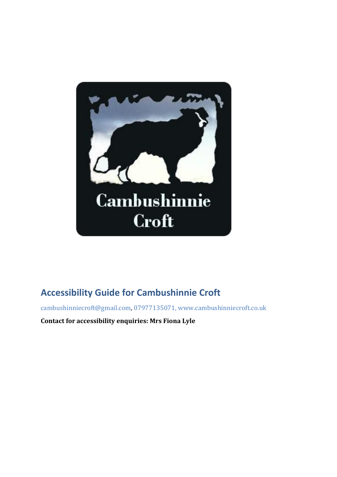

# **Accessibility Guide for Cambushinnie Croft**

[cambushinniecroft@gmail.com,](mailto:cambushinniecroft@gmail.com) [07977135071,](tel:07977135071) [www.cambushinniecroft.co.uk](file:///C:/Users/fiona/Downloads/www.cambushinniecroft.co.uk)

**Contact for accessibility enquiries: Mrs Fiona Lyle**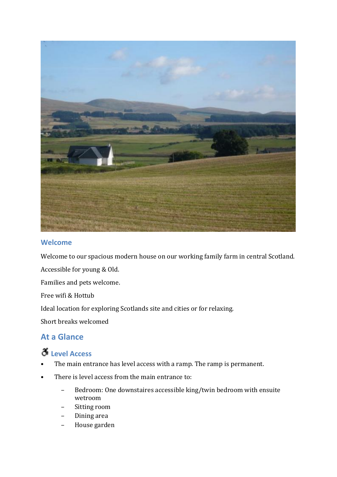

### **Welcome**

Welcome to our spacious modern house on our working family farm in central Scotland.

Accessible for young & Old.

Families and pets welcome.

Free wifi & Hottub

Ideal location for exploring Scotlands site and cities or for relaxing.

Short breaks welcomed

### **At a Glance**

# **Level Access**

- The main entrance has level access with a ramp. The ramp is permanent.
- There is level access from the main entrance to:
	- Bedroom: One downstaires accessible king/twin bedroom with ensuite wetroom
	- Sitting room
	- Dining area
	- House garden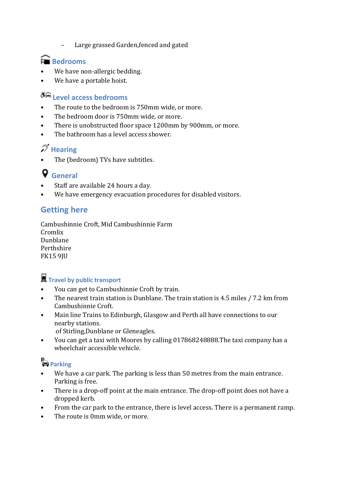– Large grassed Garden,fenced and gated

## **Bedrooms**

- We have non-allergic bedding.
- We have a portable hoist.

## **Level access bedrooms**

- The route to the bedroom is 750mm wide, or more.
- The bedroom door is 750mm wide, or more.
- There is unobstructed floor space 1200mm by 900mm, or more.
- The bathroom has a level access shower.

# **Hearing**

The (bedroom) TVs have subtitles.

# **General**

- Staff are available 24 hours a day.
- We have emergency evacuation procedures for disabled visitors.

### **Getting here**

Cambushinnie Croft, Mid Cambushinnie Farm Cromlix Dunblane Perthshire FK15 9JU

## **Travel by public transport**

- You can get to Cambushinnie Croft by train.
- The nearest train station is Dunblane. The train station is 4.5 miles / 7.2 km from Cambushinnie Croft.
- Main line Trains to Edinburgh, Glasgow and Perth all have connections to our nearby stations.
	- of Stirling,Dunblane or Gleneagles.
- You can get a taxi with Moores by calling 017868248888.The taxi company has a wheelchair accessible vehicle.

# **Parking**

- We have a car park. The parking is less than 50 metres from the main entrance. Parking is free.
- There is a drop-off point at the main entrance. The drop-off point does not have a dropped kerb.
- From the car park to the entrance, there is level access. There is a permanent ramp.
- The route is 0mm wide, or more.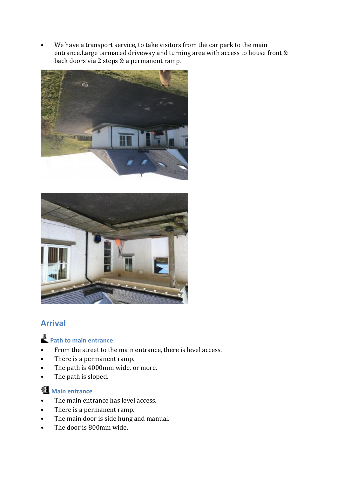• We have a transport service, to take visitors from the car park to the main entrance.Large tarmaced driveway and turning area with access to house front & back doors via 2 steps & a permanent ramp.





### **Arrival**

# **Path to main entrance**

- From the street to the main entrance, there is level access.
- There is a permanent ramp.
- The path is 4000mm wide, or more.
- The path is sloped.

### **Main entrance**

- The main entrance has level access.
- There is a permanent ramp.
- The main door is side hung and manual.
- The door is 800mm wide.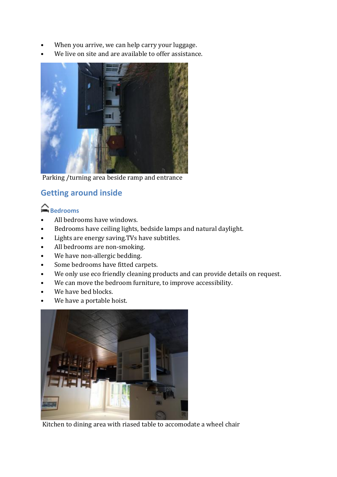- When you arrive, we can help carry your luggage.
- We live on site and are available to offer assistance.



Parking /turning area beside ramp and entrance

## **Getting around inside**

### **Bedrooms**

- All bedrooms have windows.
- Bedrooms have ceiling lights, bedside lamps and natural daylight.
- Lights are energy saving.TVs have subtitles.
- All bedrooms are non-smoking.
- We have non-allergic bedding.
- Some bedrooms have fitted carpets.
- We only use eco friendly cleaning products and can provide details on request.
- We can move the bedroom furniture, to improve accessibility.
- We have bed blocks.
- We have a portable hoist.



Kitchen to dining area with riased table to accomodate a wheel chair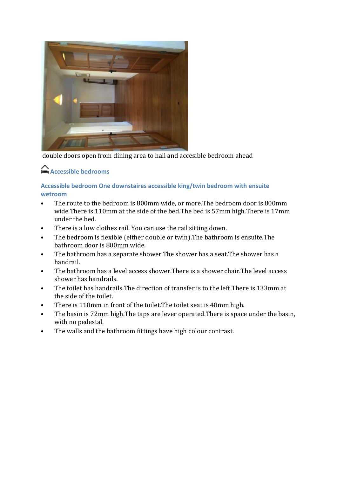

double doors open from dining area to hall and accesible bedroom ahead

## **Accessible bedrooms**

### **Accessible bedroom One downstaires accessible king/twin bedroom with ensuite wetroom**

- The route to the bedroom is 800mm wide, or more.The bedroom door is 800mm wide.There is 110mm at the side of the bed.The bed is 57mm high.There is 17mm under the bed.
- There is a low clothes rail. You can use the rail sitting down.
- The bedroom is flexible (either double or twin).The bathroom is ensuite.The bathroom door is 800mm wide.
- The bathroom has a separate shower.The shower has a seat.The shower has a handrail.
- The bathroom has a level access shower. There is a shower chair. The level access shower has handrails.
- The toilet has handrails.The direction of transfer is to the left.There is 133mm at the side of the toilet.
- There is 118mm in front of the toilet.The toilet seat is 48mm high.
- The basin is 72mm high. The taps are lever operated. There is space under the basin, with no pedestal.
- The walls and the bathroom fittings have high colour contrast.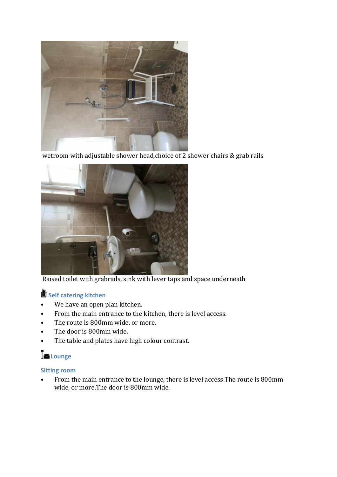

wetroom with adjustable shower head, choice of 2 shower chairs & grab rails



Raised toilet with grabrails, sink with lever taps and space underneath

# **Self catering kitchen**

- We have an open plan kitchen.
- From the main entrance to the kitchen, there is level access.
- The route is 800mm wide, or more.
- The door is 800mm wide.
- The table and plates have high colour contrast.

# **Lounge**

### **Sitting room**

• From the main entrance to the lounge, there is level access.The route is 800mm wide, or more.The door is 800mm wide.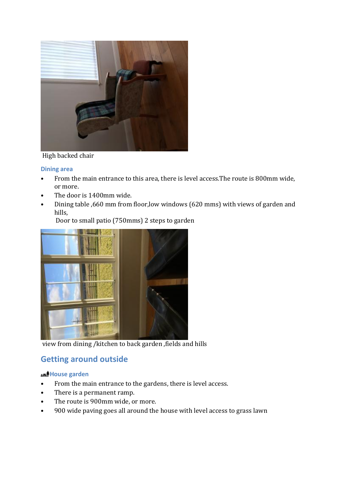

#### High backed chair

#### **Dining area**

- From the main entrance to this area, there is level access.The route is 800mm wide, or more.
- The door is 1400mm wide.
- Dining table ,660 mm from floor,low windows (620 mms) with views of garden and hills,

Door to small patio (750mms) 2 steps to garden

view from dining /kitchen to back garden ,fields and hills

### **Getting around outside**

#### **House garden**

- From the main entrance to the gardens, there is level access.
- There is a permanent ramp.
- The route is 900mm wide, or more.
- 900 wide paving goes all around the house with level access to grass lawn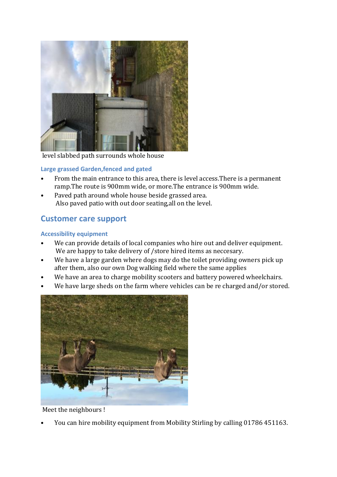

level slabbed path surrounds whole house

#### **Large grassed Garden,fenced and gated**

- From the main entrance to this area, there is level access.There is a permanent ramp.The route is 900mm wide, or more.The entrance is 900mm wide.
- Paved path around whole house beside grassed area. Also paved patio with out door seating,all on the level.

### **Customer care support**

#### **Accessibility equipment**

- We can provide details of local companies who hire out and deliver equipment. We are happy to take delivery of /store hired items as neccesary.
- We have a large garden where dogs may do the toilet providing owners pick up after them, also our own Dog walking field where the same applies
- We have an area to charge mobility scooters and battery powered wheelchairs.
- We have large sheds on the farm where vehicles can be re charged and/or stored.



Meet the neighbours !

• You can hire mobility equipment from Mobility Stirling by calling 01786 451163.